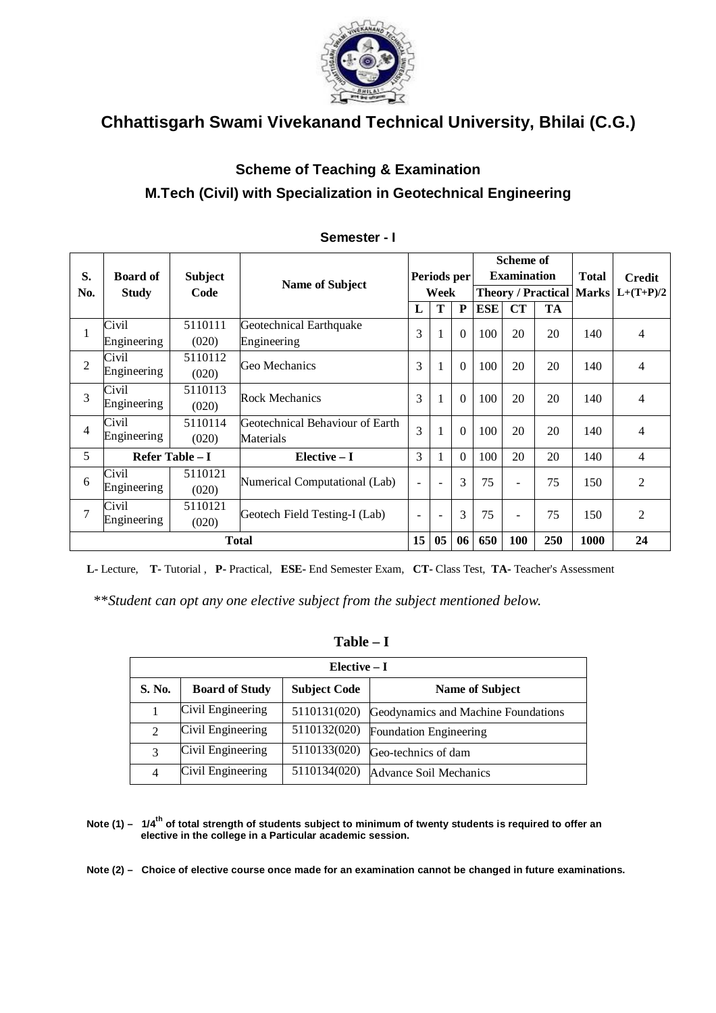

## **Scheme of Teaching & Examination M.Tech (Civil) with Specialization in Geotechnical Engineering**

| S.<br>No.      | <b>Board of</b><br><b>Study</b> | <b>Subject</b><br>Code | <b>Name of Subject</b>          | Periods per<br>Week      |                          |          |     | <b>Scheme of</b><br><b>Examination</b><br>Theory / Practical   Marks $L+(T+P)/2$ |           | Credit |                |
|----------------|---------------------------------|------------------------|---------------------------------|--------------------------|--------------------------|----------|-----|----------------------------------------------------------------------------------|-----------|--------|----------------|
|                |                                 |                        |                                 | L                        | T                        | P        | ESE | CT                                                                               | <b>TA</b> |        |                |
| 1              | Civil                           | 5110111                | Geotechnical Earthquake         | 3                        | $\mathbf{1}$             | $\Omega$ | 100 | 20                                                                               | 20        | 140    | 4              |
|                | Engineering                     | (020)                  | Engineering                     |                          |                          |          |     |                                                                                  |           |        |                |
| $\overline{2}$ | Civil                           | 5110112                | Geo Mechanics                   | 3                        | $\mathbf{1}$             | $\Omega$ | 100 | 20                                                                               | 20        | 140    | 4              |
|                | Engineering                     | (020)                  |                                 |                          |                          |          |     |                                                                                  |           |        |                |
| 3              | Civil                           | 5110113                | <b>Rock Mechanics</b>           |                          | $\mathbf{1}$             | $\Omega$ | 100 | 20                                                                               | 20        | 140    | 4              |
|                | Engineering                     | (020)                  |                                 |                          |                          |          |     |                                                                                  |           |        |                |
| 4              | Civil                           | 5110114                | Geotechnical Behaviour of Earth | 3                        | 1                        | $\Omega$ | 100 | 20                                                                               | 20        | 140    | 4              |
|                | Engineering                     | (020)                  | Materials                       |                          |                          |          |     |                                                                                  |           |        |                |
| 5              |                                 | Refer Table - I        | Elective - I                    | 3                        | 1                        | $\Omega$ | 100 | 20                                                                               | 20        | 140    | 4              |
| 6              | Civil                           | 5110121                |                                 | $\blacksquare$           |                          | 3        | 75  |                                                                                  | 75        | 150    | $\overline{2}$ |
|                | Engineering                     | (020)                  | Numerical Computational (Lab)   |                          | $\overline{\phantom{a}}$ |          |     | $\overline{\phantom{a}}$                                                         |           |        |                |
| 7              | Civil                           | 5110121                |                                 |                          |                          | 3        | 75  |                                                                                  | 75        | 150    | $\overline{2}$ |
|                | Engineering                     | (020)                  | Geotech Field Testing-I (Lab)   | $\overline{\phantom{a}}$ | $\overline{\phantom{a}}$ |          |     | $\overline{\phantom{a}}$                                                         |           |        |                |
|                | <b>Total</b>                    |                        |                                 | 15                       | 05                       | 06       | 650 | 100                                                                              | 250       | 1000   | 24             |

#### **Semester - I**

**L-** Lecture, **T-** Tutorial , **P-** Practical, **ESE-** End Semester Exam, **CT-** Class Test, **TA-** Teacher's Assessment

\*\**Student can opt any one elective subject from the subject mentioned below.*

| anı<br>ı<br>г |  |
|---------------|--|
|---------------|--|

|               | $Elective-I$          |                     |                                     |  |  |  |  |  |
|---------------|-----------------------|---------------------|-------------------------------------|--|--|--|--|--|
| <b>S. No.</b> | <b>Board of Study</b> | <b>Subject Code</b> | <b>Name of Subject</b>              |  |  |  |  |  |
|               | Civil Engineering     | 5110131(020)        | Geodynamics and Machine Foundations |  |  |  |  |  |
|               | Civil Engineering     | 5110132(020)        | Foundation Engineering              |  |  |  |  |  |
|               | Civil Engineering     | 5110133(020)        | Geo-technics of dam                 |  |  |  |  |  |
| 4             | Civil Engineering     | 5110134(020)        | Advance Soil Mechanics              |  |  |  |  |  |

**Note (1) – 1/4th of total strength of students subject to minimum of twenty students is required to offer an elective in the college in a Particular academic session.**

**Note (2) – Choice of elective course once made for an examination cannot be changed in future examinations.**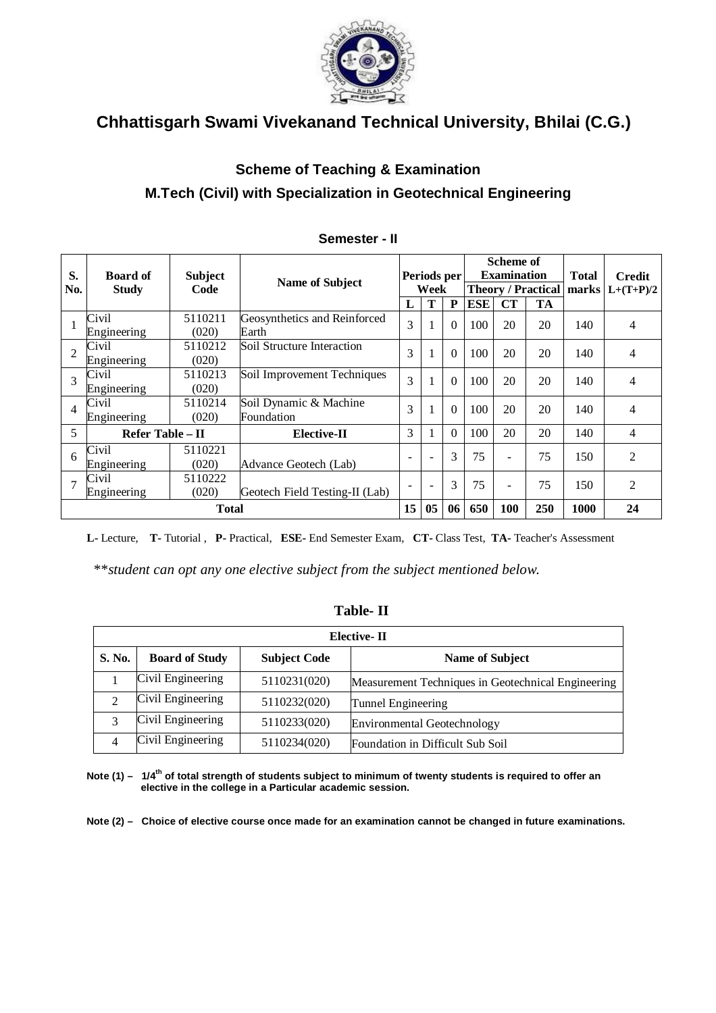

## **Scheme of Teaching & Examination M.Tech (Civil) with Specialization in Geotechnical Engineering**

| S.<br>No.      | <b>Board of</b><br><b>Study</b> | <b>Subject</b><br>Code | <b>Name of Subject</b>                | Periods per<br>Week |    | Scheme of<br><b>Examination</b><br><b>Theory / Practical</b> |            |     | <b>Total</b><br>marks | <b>Credit</b><br>$L+(T+P)/2$ |                |
|----------------|---------------------------------|------------------------|---------------------------------------|---------------------|----|--------------------------------------------------------------|------------|-----|-----------------------|------------------------------|----------------|
|                |                                 |                        |                                       | L                   | Т  | P                                                            | <b>ESE</b> | CT  | <b>TA</b>             |                              |                |
|                | Civil<br>Engineering            | 5110211<br>(020)       | Geosynthetics and Reinforced<br>Earth | 3                   |    | $\theta$                                                     | 100        | 20  | 20                    | 140                          | 4              |
| $\overline{2}$ | Civil<br>Engineering            | 5110212<br>(020)       | Soil Structure Interaction            | 3                   | 1  | $\Omega$                                                     | 100        | 20  | 20                    | 140                          | 4              |
| 3              | Civil<br>Engineering            | 5110213<br>(020)       | Soil Improvement Techniques           | 3                   | 1  | $\Omega$                                                     | 100        | 20  | 20                    | 140                          | 4              |
| 4              | Civil<br>Engineering            | 5110214<br>(020)       | Soil Dynamic & Machine<br>Foundation  | 3                   |    | $\Omega$                                                     | 100        | 20  | 20                    | 140                          | 4              |
| 5              | Refer Table - II                |                        | <b>Elective-II</b>                    | 3                   |    | $\theta$                                                     | 100        | 20  | 20                    | 140                          | 4              |
| 6              | Civil<br>Engineering            | 5110221<br>(020)       | Advance Geotech (Lab)                 | ÷                   |    | 3                                                            | 75         |     | 75                    | 150                          | $\overline{2}$ |
| 7              | Civil<br>Engineering            | 5110222<br>(020)       | Geotech Field Testing-II (Lab)        |                     |    | 3                                                            | 75         |     | 75                    | 150                          | $\overline{2}$ |
|                |                                 | <b>Total</b>           |                                       | 15                  | 05 | 06                                                           | 650        | 100 | 250                   | 1000                         | 24             |

#### **Semester - II**

**L-** Lecture, **T-** Tutorial , **P-** Practical, **ESE-** End Semester Exam, **CT-** Class Test, **TA-** Teacher's Assessment

\*\**student can opt any one elective subject from the subject mentioned below.*

### **Table- II**

|        | Elective-II           |                     |                                                    |  |  |  |  |  |
|--------|-----------------------|---------------------|----------------------------------------------------|--|--|--|--|--|
| S. No. | <b>Board of Study</b> | <b>Subject Code</b> | <b>Name of Subject</b>                             |  |  |  |  |  |
|        | Civil Engineering     | 5110231(020)        | Measurement Techniques in Geotechnical Engineering |  |  |  |  |  |
| ↑      | Civil Engineering     | 5110232(020)        | Tunnel Engineering                                 |  |  |  |  |  |
| 3      | Civil Engineering     | 5110233(020)        | <b>Environmental Geotechnology</b>                 |  |  |  |  |  |
| 4      | Civil Engineering     | 5110234(020)        | Foundation in Difficult Sub Soil                   |  |  |  |  |  |

**Note (1) – 1/4th of total strength of students subject to minimum of twenty students is required to offer an elective in the college in a Particular academic session.**

**Note (2) – Choice of elective course once made for an examination cannot be changed in future examinations.**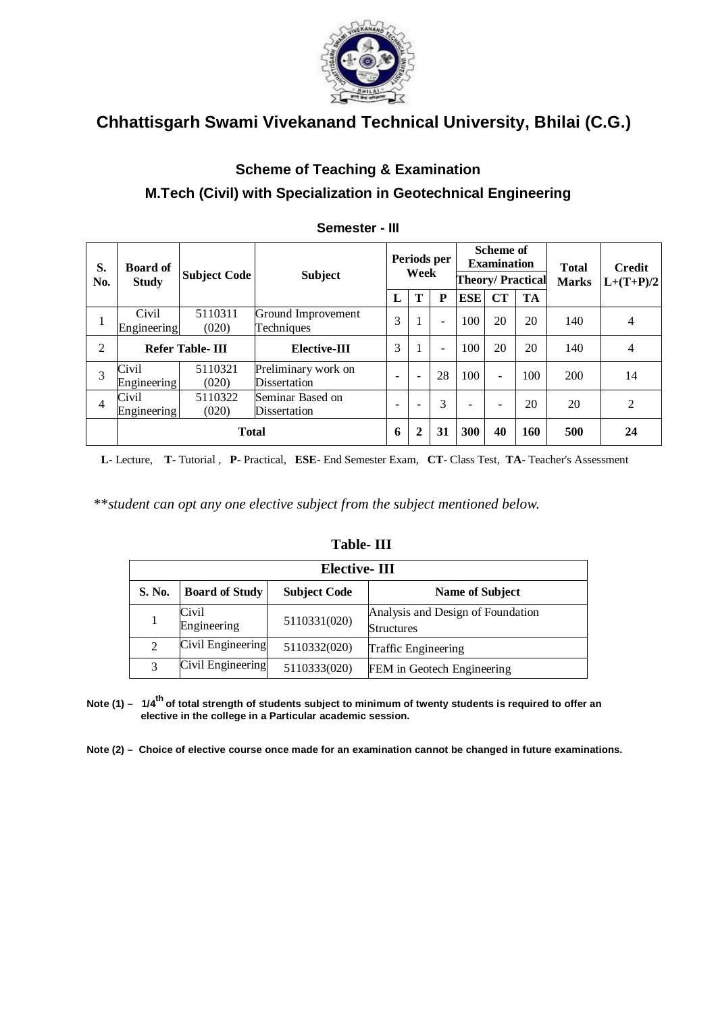

## **Scheme of Teaching & Examination M.Tech (Civil) with Specialization in Geotechnical Engineering**

| S.<br>No.      | <b>Board of</b><br><b>Study</b> | <b>Subject Code</b>    | <b>Subject</b>                      | Periods per<br>Week      |                          |                          | <b>Scheme of</b><br><b>Examination</b> | <b>Theory/Practical</b>  | <b>Total</b><br><b>Marks</b> | <b>Credit</b><br>$L+(T+P)/2$ |                |
|----------------|---------------------------------|------------------------|-------------------------------------|--------------------------|--------------------------|--------------------------|----------------------------------------|--------------------------|------------------------------|------------------------------|----------------|
|                |                                 |                        |                                     | L                        | T                        | P                        | <b>ESE</b>                             | CT                       | <b>TA</b>                    |                              |                |
| 1              | Civil<br>Engineering            | 5110311<br>(020)       | Ground Improvement<br>Techniques    | 3                        | $\mathbf{I}$             | ۰                        | 100                                    | 20                       | 20                           | 140                          | $\overline{4}$ |
| 2              |                                 | <b>Refer Table-III</b> | Elective-III                        | 3                        | $\mathbf{I}$             | $\overline{\phantom{0}}$ | 100                                    | 20                       | 20                           | 140                          | 4              |
| 3              | Civil<br>Engineering            | 5110321<br>(020)       | Preliminary work on<br>Dissertation | $\overline{\phantom{a}}$ | $\overline{\phantom{a}}$ | 28                       | 100                                    | $\overline{\phantom{0}}$ | 100                          | 200                          | 14             |
| $\overline{4}$ | Civil<br>Engineering            | 5110322<br>(020)       | Seminar Based on<br>Dissertation    | -                        |                          | 3                        |                                        | ۰                        | 20                           | 20                           | $\overline{c}$ |
|                |                                 | Total                  |                                     | 6                        | $\mathbf{2}$             | 31                       | 300                                    | 40                       | 160                          | 500                          | 24             |

### **Semester - III**

 **L-** Lecture, **T-** Tutorial , **P-** Practical, **ESE-** End Semester Exam, **CT-** Class Test, **TA-** Teacher's Assessment

\*\**student can opt any one elective subject from the subject mentioned below.*

|                | Elective-III          |                     |                                                        |  |  |  |  |  |
|----------------|-----------------------|---------------------|--------------------------------------------------------|--|--|--|--|--|
| S. No.         | <b>Board of Study</b> | <b>Subject Code</b> | <b>Name of Subject</b>                                 |  |  |  |  |  |
|                | Civil<br>Engineering  | 5110331(020)        | Analysis and Design of Foundation<br><b>Structures</b> |  |  |  |  |  |
| $\mathfrak{D}$ | Civil Engineering     | 5110332(020)        | <b>Traffic Engineering</b>                             |  |  |  |  |  |
|                | Civil Engineering     | 5110333(020)        | FEM in Geotech Engineering                             |  |  |  |  |  |

### **Table- III**

**Note (1) – 1/4th of total strength of students subject to minimum of twenty students is required to offer an elective in the college in a Particular academic session.**

**Note (2) – Choice of elective course once made for an examination cannot be changed in future examinations.**